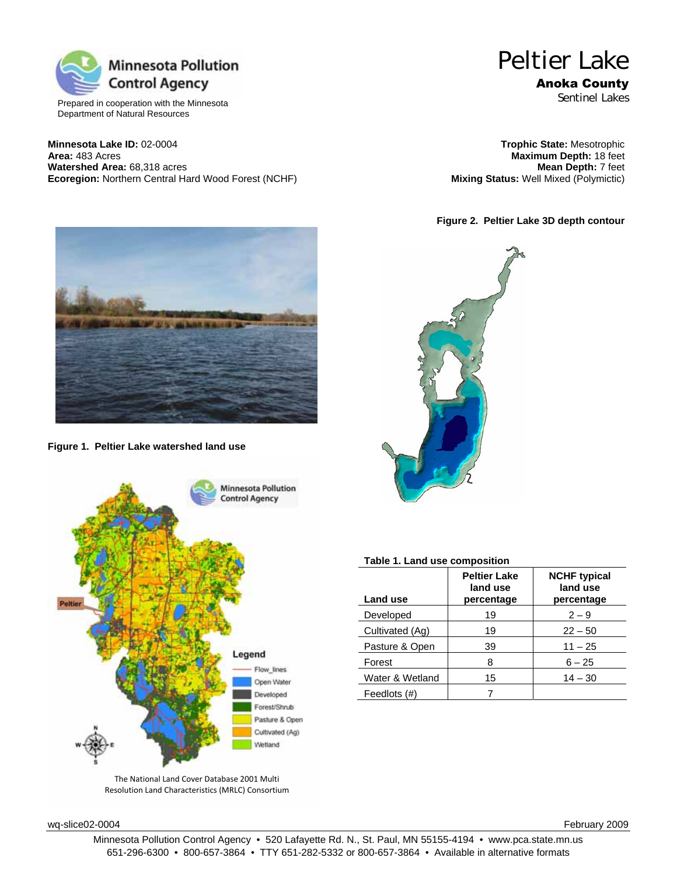

Prepared in cooperation with the Minnesota Department of Natural Resources

**Minnesota Lake ID:** 02-0004 **Trophic State:** Mesotrophic **Watershed Area:** 68,318 acres **Mean Depth:** 7 feet **Matershed Area:** 68,318 acres **Mean Depth:** 7 feet **Ecoregion:** Northern Central Hard Wood Forest (NCHF) **Mixing Status:** Well Mixed (Polymictic) **Ecoregion:** Northern Central Hard Wood Forest (NCHF)

# Peltier Lake Anoka County

Sentinel Lakes

**Maximum Depth: 18 feet<br><b>Mean Depth: 7 feet** 

**Figure 2. Peltier Lake 3D depth contour** 



**Figure 1. Peltier Lake watershed land use** 



The National Land Cover Database 2001 Multi Resolution Land Characteristics (MRLC) Consortium



## **Table 1. Land use composition**

| <b>Land use</b> | <b>Peltier Lake</b><br>land use<br>percentage | <b>NCHF</b> typical<br>land use<br>percentage |
|-----------------|-----------------------------------------------|-----------------------------------------------|
| Developed       | 19                                            | $2 - 9$                                       |
| Cultivated (Ag) | 19                                            | $22 - 50$                                     |
| Pasture & Open  | 39                                            | $11 - 25$                                     |
| Forest          | 8                                             | $6 - 25$                                      |
| Water & Wetland | 15                                            | $14 - 30$                                     |
| Feedlots (#)    |                                               |                                               |

wq-slice02-0004 February 2009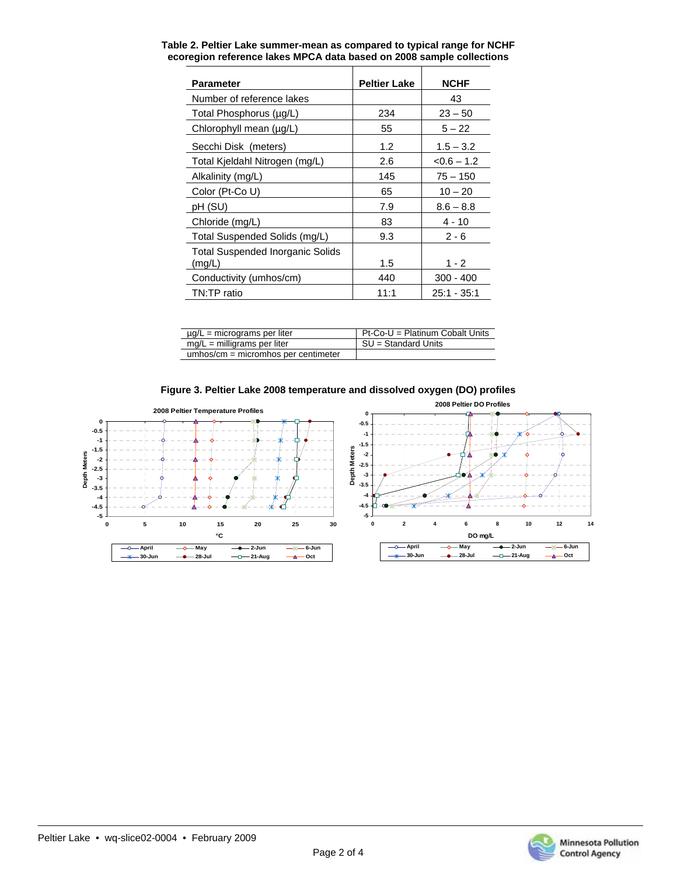| Parameter                                  | <b>Peltier Lake</b> | <b>NCHF</b>     |
|--------------------------------------------|---------------------|-----------------|
| Number of reference lakes                  |                     | 43              |
| Total Phosphorus (µg/L)                    | 234                 | $23 - 50$       |
| Chlorophyll mean (µg/L)                    | 55                  | $5 - 22$        |
| Secchi Disk (meters)                       | 1.2                 | $1.5 - 3.2$     |
| Total Kjeldahl Nitrogen (mg/L)             | 2.6                 | $<$ 0.6 $-$ 1.2 |
| Alkalinity (mg/L)                          | 145                 | $75 - 150$      |
| Color (Pt-Co U)                            | 65                  | $10 - 20$       |
| pH (SU)                                    | 7.9                 | $8.6 - 8.8$     |
| Chloride (mg/L)                            | 83                  | 4 - 10          |
| Total Suspended Solids (mg/L)              | 9.3                 | $2 - 6$         |
| Total Suspended Inorganic Solids<br>(mg/L) | 1.5                 | $1 - 2$         |
| Conductivity (umhos/cm)                    | 440                 | 300 - 400       |
| TN:TP ratio                                | 11:1                | 25:1 - 35:1     |

| Table 2. Peltier Lake summer-mean as compared to typical range for NCHF |
|-------------------------------------------------------------------------|
| ecoregion reference lakes MPCA data based on 2008 sample collections    |

| $\mu$ g/L = micrograms per liter      | Pt-Co-U = Platinum Cobalt Units |
|---------------------------------------|---------------------------------|
| $mg/L =$ milligrams per liter         | SU = Standard Units             |
| $umbos/cm = micromhos per centimeter$ |                                 |





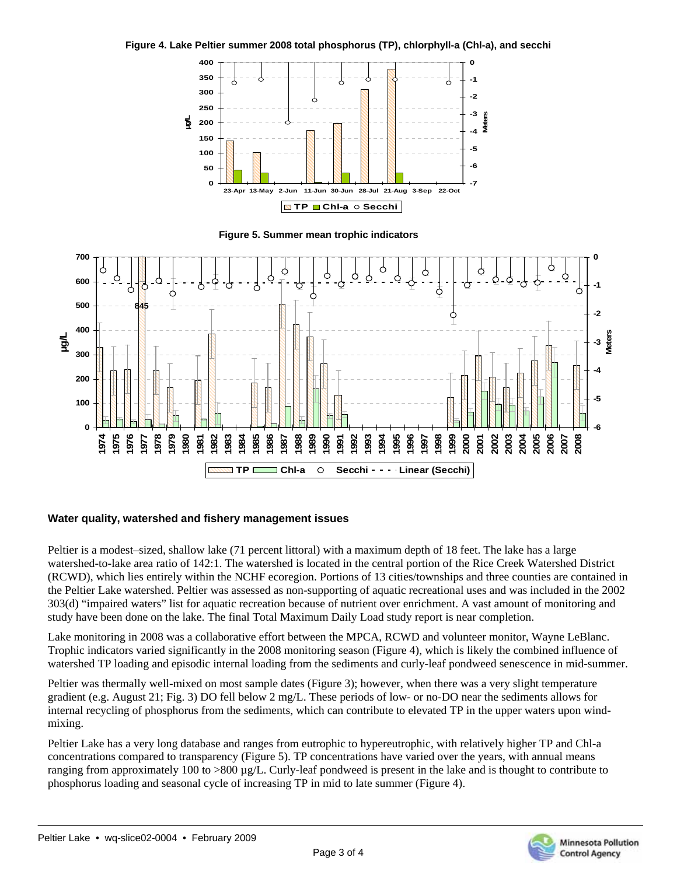



**Figure 5. Summer mean trophic indicators** 



## **Water quality, watershed and fishery management issues**

Peltier is a modest–sized, shallow lake (71 percent littoral) with a maximum depth of 18 feet. The lake has a large watershed-to-lake area ratio of 142:1. The watershed is located in the central portion of the Rice Creek Watershed District (RCWD), which lies entirely within the NCHF ecoregion. Portions of 13 cities/townships and three counties are contained in the Peltier Lake watershed. Peltier was assessed as non-supporting of aquatic recreational uses and was included in the 2002 303(d) "impaired waters" list for aquatic recreation because of nutrient over enrichment. A vast amount of monitoring and study have been done on the lake. The final Total Maximum Daily Load study report is near completion.

Lake monitoring in 2008 was a collaborative effort between the MPCA, RCWD and volunteer monitor, Wayne LeBlanc. Trophic indicators varied significantly in the 2008 monitoring season (Figure 4), which is likely the combined influence of watershed TP loading and episodic internal loading from the sediments and curly-leaf pondweed senescence in mid-summer.

Peltier was thermally well-mixed on most sample dates (Figure 3); however, when there was a very slight temperature gradient (e.g. August 21; Fig. 3) DO fell below 2 mg/L. These periods of low- or no-DO near the sediments allows for internal recycling of phosphorus from the sediments, which can contribute to elevated TP in the upper waters upon windmixing.

Peltier Lake has a very long database and ranges from eutrophic to hypereutrophic, with relatively higher TP and Chl-a concentrations compared to transparency (Figure 5). TP concentrations have varied over the years, with annual means ranging from approximately 100 to >800 µg/L. Curly-leaf pondweed is present in the lake and is thought to contribute to phosphorus loading and seasonal cycle of increasing TP in mid to late summer (Figure 4).

Page 3 of 4